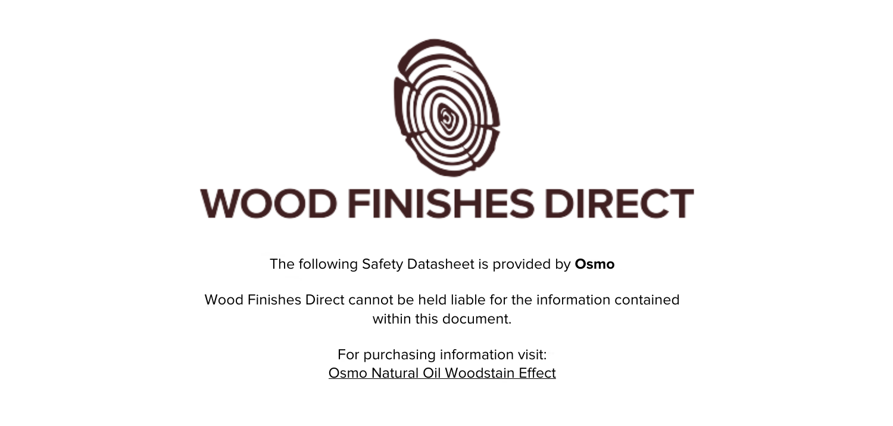

The following Safety Datasheet is provided by **Osmo**

Wood Finishes Direct cannot be held liable for the information contained within this document

> For purchasing information visit: [Osmo Natural Oil Woodstain Effect](https://www.wood-finishes-direct.com/product/osmo-natural-oil-woodstain-effect)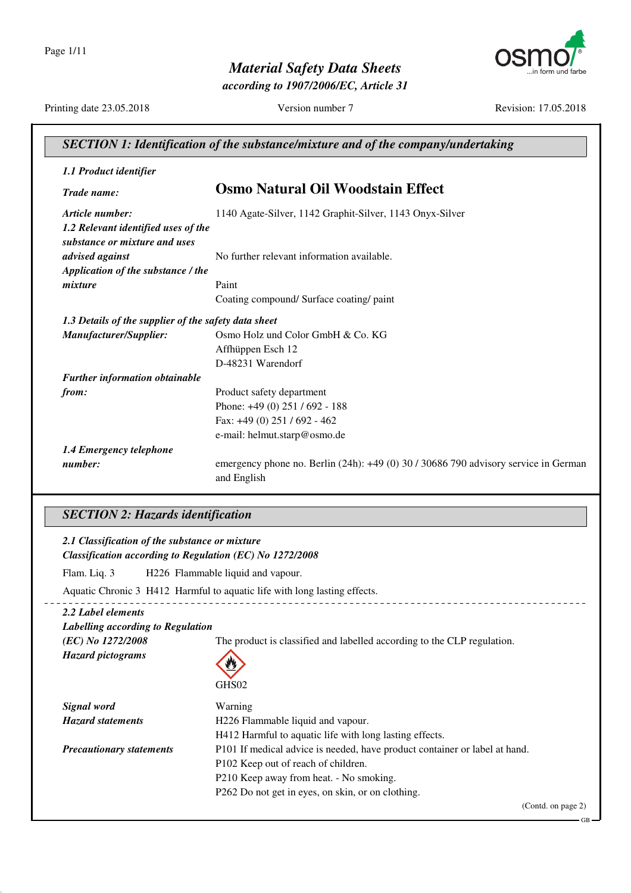*Material Safety Data Sheets according to 1907/2006/EC, Article 31*



Printing date 23.05.2018 Version number 7 Revision: 17.05.2018

| <b>SECTION 1: Identification of the substance/mixture and of the company/undertaking</b> |                                                                                                        |
|------------------------------------------------------------------------------------------|--------------------------------------------------------------------------------------------------------|
| 1.1 Product identifier                                                                   |                                                                                                        |
| Trade name:                                                                              | <b>Osmo Natural Oil Woodstain Effect</b>                                                               |
| Article number:                                                                          | 1140 Agate-Silver, 1142 Graphit-Silver, 1143 Onyx-Silver                                               |
| 1.2 Relevant identified uses of the<br>substance or mixture and uses                     |                                                                                                        |
| advised against                                                                          | No further relevant information available.                                                             |
| Application of the substance / the                                                       |                                                                                                        |
| mixture                                                                                  | Paint                                                                                                  |
|                                                                                          | Coating compound/ Surface coating/ paint                                                               |
| 1.3 Details of the supplier of the safety data sheet                                     |                                                                                                        |
| Manufacturer/Supplier:                                                                   | Osmo Holz und Color GmbH & Co. KG                                                                      |
|                                                                                          | Affhüppen Esch 12                                                                                      |
|                                                                                          | D-48231 Warendorf                                                                                      |
| <b>Further information obtainable</b>                                                    |                                                                                                        |
| from:                                                                                    | Product safety department                                                                              |
|                                                                                          | Phone: +49 (0) 251 / 692 - 188                                                                         |
|                                                                                          | Fax: $+49(0)$ 251 / 692 - 462                                                                          |
|                                                                                          | e-mail: helmut.starp@osmo.de                                                                           |
| 1.4 Emergency telephone                                                                  |                                                                                                        |
| number:                                                                                  | emergency phone no. Berlin $(24h)$ : $+49(0)$ 30 / 30686 790 advisory service in German<br>and English |

#### *SECTION 2: Hazards identification*

#### *2.1 Classification of the substance or mixture Classification according to Regulation (EC) No 1272/2008* Flam. Liq. 3 H226 Flammable liquid and vapour. Aquatic Chronic 3 H412 Harmful to aquatic life with long lasting effects. \_ \_ \_ \_ \_ \_ \_ \_ \_ \_ \_ \_ <u>\_\_\_\_\_\_\_\_\_\_\_\_\_\_</u> *2.2 Label elements Labelling according to Regulation (EC) No 1272/2008* The product is classified and labelled according to the CLP regulation. *Hazard pictograms* GH<sub>S02</sub> *Signal word* Warning *Hazard statements* H226 Flammable liquid and vapour. H412 Harmful to aquatic life with long lasting effects. *Precautionary statements* P101 If medical advice is needed, have product container or label at hand. P102 Keep out of reach of children. P210 Keep away from heat. - No smoking. P262 Do not get in eyes, on skin, or on clothing.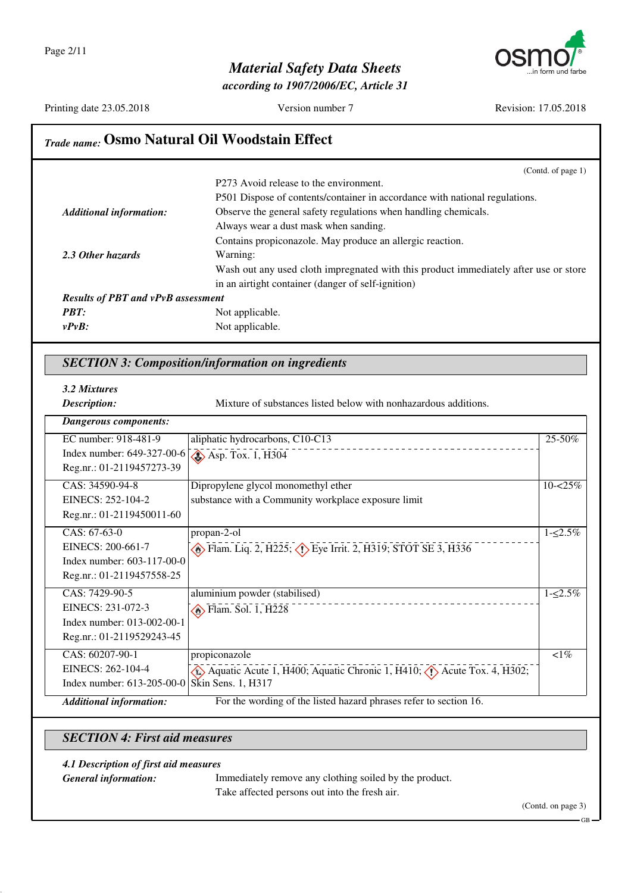

*according to 1907/2006/EC, Article 31*

Printing date 23.05.2018 Version number 7 Revision: 17.05.2018

#### *Trade name:* **Osmo Natural Oil Woodstain Effect** (Contd. of page 1) P273 Avoid release to the environment. P501 Dispose of contents/container in accordance with national regulations. *Additional information:* Observe the general safety regulations when handling chemicals. Always wear a dust mask when sanding. Contains propiconazole. May produce an allergic reaction. *2.3 Other hazards* Warning: Wash out any used cloth impregnated with this product immediately after use or store in an airtight container (danger of self-ignition) *Results of PBT and vPvB assessment PBT:* Not applicable. *vPvB:* Not applicable. *SECTION 3: Composition/information on ingredients 3.2 Mixtures* **Description:** Mixture of substances listed below with nonhazardous additions. *Dangerous components:* EC number: 918-481-9 Index number: 649-327-00-6 Reg.nr.: 01-2119457273-39 aliphatic hydrocarbons, C10-C13  $\bigotimes$  Asp. Tox. 1, H304  $25 - 50%$ CAS: 34590-94-8 EINECS: 252-104-2 Reg.nr.: 01-2119450011-60 Dipropylene glycol monomethyl ether substance with a Community workplace exposure limit  $10 - 25%$ CAS: 67-63-0 EINECS: 200-661-7 Index number: 603-117-00-0 Reg.nr.: 01-2119457558-25 propan-2-ol **Example 2, H225; CD** Eye Irrit. 2, H319; STOT SE 3, H336  $1 - 2.5\%$ CAS: 7429-90-5 EINECS: 231-072-3 Index number: 013-002-00-1 Reg.nr.: 01-2119529243-45 aluminium powder (stabilised)  $\bigotimes$  Flam. Sol. 1, H228 1-≤2.5% CAS: 60207-90-1 propiconazole  $lt1\%$

*Additional information:* For the wording of the listed hazard phrases refer to section 16.

Index number: 613-205-00-0

EINECS: 262-104-4

#### *SECTION 4: First aid measures*

Skin Sens. 1, H317

#### *4.1 Description of first aid measures*

*General information:* Immediately remove any clothing soiled by the product. Take affected persons out into the fresh air.

Aquatic Acute 1, H400; Aquatic Chronic 1, H410;  $\langle \cdot \rangle$  Acute Tox. 4, H302;

(Contd. on page 3)

GB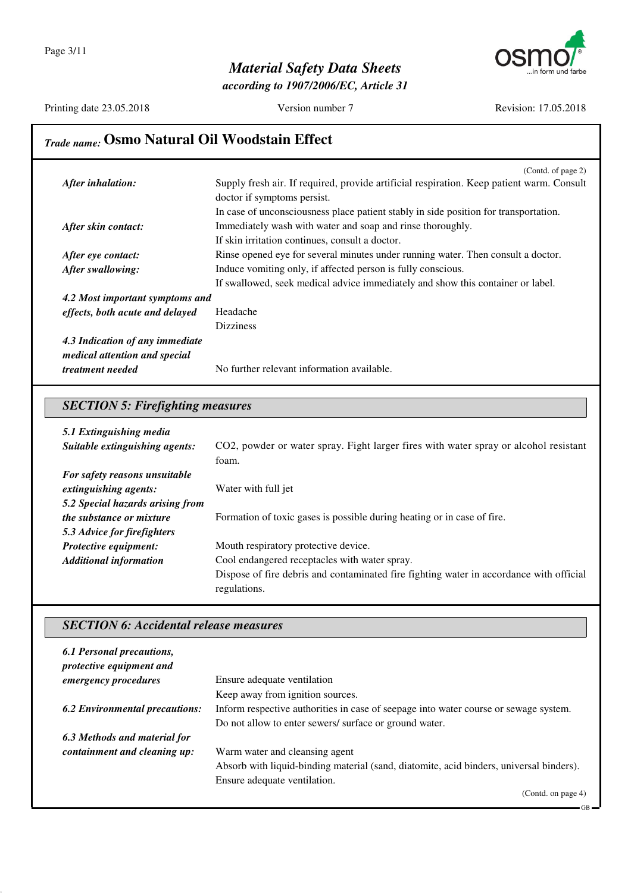

*according to 1907/2006/EC, Article 31*

Printing date 23.05.2018 Version number 7 Revision: 17.05.2018

## *Trade name:* **Osmo Natural Oil Woodstain Effect**

| After inhalation:               | (Contd. of page 2)<br>Supply fresh air. If required, provide artificial respiration. Keep patient warm. Consult |
|---------------------------------|-----------------------------------------------------------------------------------------------------------------|
|                                 | doctor if symptoms persist.                                                                                     |
|                                 | In case of unconsciousness place patient stably in side position for transportation.                            |
| After skin contact:             | Immediately wash with water and soap and rinse thoroughly.                                                      |
|                                 | If skin irritation continues, consult a doctor.                                                                 |
| After eye contact:              | Rinse opened eye for several minutes under running water. Then consult a doctor.                                |
| After swallowing:               | Induce vomiting only, if affected person is fully conscious.                                                    |
|                                 | If swallowed, seek medical advice immediately and show this container or label.                                 |
| 4.2 Most important symptoms and |                                                                                                                 |
| effects, both acute and delayed | Headache                                                                                                        |
|                                 | <b>Dizziness</b>                                                                                                |
| 4.3 Indication of any immediate |                                                                                                                 |
| medical attention and special   |                                                                                                                 |
| <i>treatment needed</i>         | No further relevant information available.                                                                      |

## *SECTION 5: Firefighting measures*

| 5.1 Extinguishing media          |                                                                                         |
|----------------------------------|-----------------------------------------------------------------------------------------|
| Suitable extinguishing agents:   | CO2, powder or water spray. Fight larger fires with water spray or alcohol resistant    |
|                                  | foam.                                                                                   |
| For safety reasons unsuitable    |                                                                                         |
| extinguishing agents:            | Water with full jet                                                                     |
| 5.2 Special hazards arising from |                                                                                         |
| <i>the substance or mixture</i>  | Formation of toxic gases is possible during heating or in case of fire.                 |
| 5.3 Advice for firefighters      |                                                                                         |
| <b>Protective equipment:</b>     | Mouth respiratory protective device.                                                    |
| <b>Additional information</b>    | Cool endangered receptacles with water spray.                                           |
|                                  | Dispose of fire debris and contaminated fire fighting water in accordance with official |
|                                  | regulations.                                                                            |

#### *SECTION 6: Accidental release measures*

| 6.1 Personal precautions,<br>protective equipment and |                                                                                         |
|-------------------------------------------------------|-----------------------------------------------------------------------------------------|
| emergency procedures                                  | Ensure adequate ventilation                                                             |
|                                                       | Keep away from ignition sources.                                                        |
| <b>6.2 Environmental precautions:</b>                 | Inform respective authorities in case of seepage into water course or sewage system.    |
|                                                       | Do not allow to enter sewers/ surface or ground water.                                  |
| 6.3 Methods and material for                          |                                                                                         |
| containment and cleaning up:                          | Warm water and cleansing agent                                                          |
|                                                       | Absorb with liquid-binding material (sand, diatomite, acid binders, universal binders). |
|                                                       | Ensure adequate ventilation.                                                            |
|                                                       | (Contd. on page $4$ )                                                                   |

GB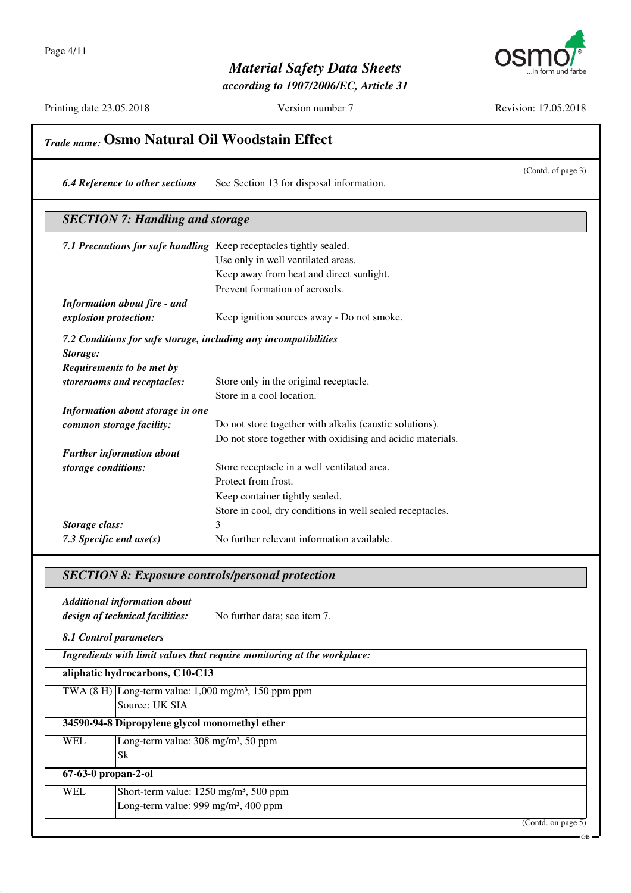

*according to 1907/2006/EC, Article 31*

Printing date 23.05.2018 Version number 7 Revision: 17.05.2018

GB

|                                                                                           | (Contd. of page 3)                                                      |
|-------------------------------------------------------------------------------------------|-------------------------------------------------------------------------|
| <b>6.4 Reference to other sections</b>                                                    | See Section 13 for disposal information.                                |
| <b>SECTION 7: Handling and storage</b>                                                    |                                                                         |
| 7.1 Precautions for safe handling Keep receptacles tightly sealed.                        |                                                                         |
|                                                                                           | Use only in well ventilated areas.                                      |
|                                                                                           | Keep away from heat and direct sunlight.                                |
|                                                                                           | Prevent formation of aerosols.                                          |
| <b>Information about fire - and</b>                                                       |                                                                         |
| explosion protection:                                                                     | Keep ignition sources away - Do not smoke.                              |
| 7.2 Conditions for safe storage, including any incompatibilities                          |                                                                         |
| Storage:                                                                                  |                                                                         |
| Requirements to be met by                                                                 |                                                                         |
| storerooms and receptacles:                                                               | Store only in the original receptacle.                                  |
|                                                                                           | Store in a cool location.                                               |
| Information about storage in one                                                          |                                                                         |
| common storage facility:                                                                  | Do not store together with alkalis (caustic solutions).                 |
|                                                                                           | Do not store together with oxidising and acidic materials.              |
| <b>Further information about</b><br>storage conditions:                                   | Store receptacle in a well ventilated area.                             |
|                                                                                           | Protect from frost.                                                     |
|                                                                                           | Keep container tightly sealed.                                          |
|                                                                                           | Store in cool, dry conditions in well sealed receptacles.               |
| Storage class:                                                                            | 3                                                                       |
| 7.3 Specific end $use(s)$                                                                 | No further relevant information available.                              |
|                                                                                           |                                                                         |
| <b>SECTION 8: Exposure controls/personal protection</b>                                   |                                                                         |
|                                                                                           |                                                                         |
| <b>Additional information about</b>                                                       |                                                                         |
| design of technical facilities:                                                           | No further data; see item 7.                                            |
|                                                                                           |                                                                         |
| 8.1 Control parameters                                                                    | Ingredients with limit values that require monitoring at the workplace: |
| aliphatic hydrocarbons, C10-C13                                                           |                                                                         |
| TWA $(8 \text{ H})$ Long-term value: $1,000 \text{ mg/m}^3$ , 150 ppm ppm                 |                                                                         |
| Source: UK SIA                                                                            |                                                                         |
| 34590-94-8 Dipropylene glycol monomethyl ether                                            |                                                                         |
| Long-term value: 308 mg/m <sup>3</sup> , 50 ppm<br><b>WEL</b>                             |                                                                         |
| <b>Sk</b>                                                                                 |                                                                         |
| $67-63-0$ propan-2-ol<br><b>WEL</b><br>Short-term value: 1250 mg/m <sup>3</sup> , 500 ppm |                                                                         |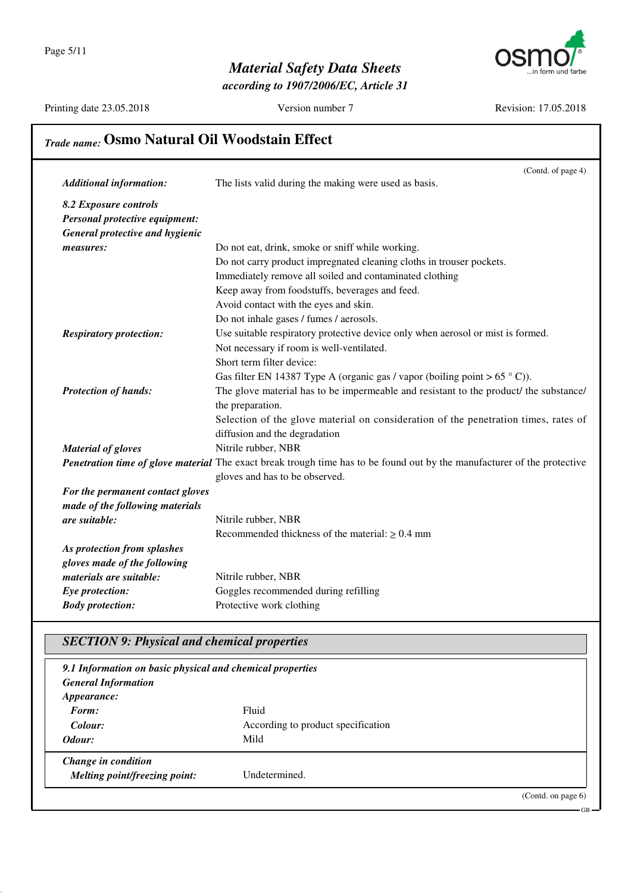

*according to 1907/2006/EC, Article 31*

Printing date 23.05.2018 Version number 7 Revision: 17.05.2018

GB

## *Trade name:* **Osmo Natural Oil Woodstain Effect**

|                                  | (Contd. of page 4)                                                                                                              |
|----------------------------------|---------------------------------------------------------------------------------------------------------------------------------|
| <b>Additional information:</b>   | The lists valid during the making were used as basis.                                                                           |
| 8.2 Exposure controls            |                                                                                                                                 |
| Personal protective equipment:   |                                                                                                                                 |
| General protective and hygienic  |                                                                                                                                 |
| measures:                        | Do not eat, drink, smoke or sniff while working.                                                                                |
|                                  | Do not carry product impregnated cleaning cloths in trouser pockets.                                                            |
|                                  | Immediately remove all soiled and contaminated clothing                                                                         |
|                                  | Keep away from foodstuffs, beverages and feed.                                                                                  |
|                                  | Avoid contact with the eyes and skin.                                                                                           |
|                                  | Do not inhale gases / fumes / aerosols.                                                                                         |
| <b>Respiratory protection:</b>   | Use suitable respiratory protective device only when aerosol or mist is formed.                                                 |
|                                  | Not necessary if room is well-ventilated.                                                                                       |
|                                  | Short term filter device:                                                                                                       |
|                                  | Gas filter EN 14387 Type A (organic gas / vapor (boiling point > $65 °C$ )).                                                    |
| <b>Protection of hands:</b>      | The glove material has to be impermeable and resistant to the product/ the substance/                                           |
|                                  | the preparation.                                                                                                                |
|                                  | Selection of the glove material on consideration of the penetration times, rates of                                             |
|                                  | diffusion and the degradation                                                                                                   |
| <b>Material of gloves</b>        | Nitrile rubber, NBR                                                                                                             |
|                                  | <b>Penetration time of glove material</b> The exact break trough time has to be found out by the manufacturer of the protective |
|                                  | gloves and has to be observed.                                                                                                  |
| For the permanent contact gloves |                                                                                                                                 |
| made of the following materials  |                                                                                                                                 |
| are suitable:                    | Nitrile rubber, NBR                                                                                                             |
|                                  | Recommended thickness of the material: $\geq 0.4$ mm                                                                            |
| As protection from splashes      |                                                                                                                                 |
| gloves made of the following     |                                                                                                                                 |
| materials are suitable:          | Nitrile rubber, NBR                                                                                                             |
| Eye protection:                  | Goggles recommended during refilling                                                                                            |
| <b>Body protection:</b>          | Protective work clothing                                                                                                        |

### *SECTION 9: Physical and chemical properties*

| 9.1 Information on basic physical and chemical properties |                                    |                       |
|-----------------------------------------------------------|------------------------------------|-----------------------|
| <b>General Information</b>                                |                                    |                       |
| <i>Appearance:</i>                                        |                                    |                       |
| Form:                                                     | Fluid                              |                       |
| Colour:                                                   | According to product specification |                       |
| Odour:                                                    | Mild                               |                       |
| Change in condition                                       |                                    |                       |
| Melting point/freezing point:                             | Undetermined.                      |                       |
|                                                           |                                    | (Contd. on page $6$ ) |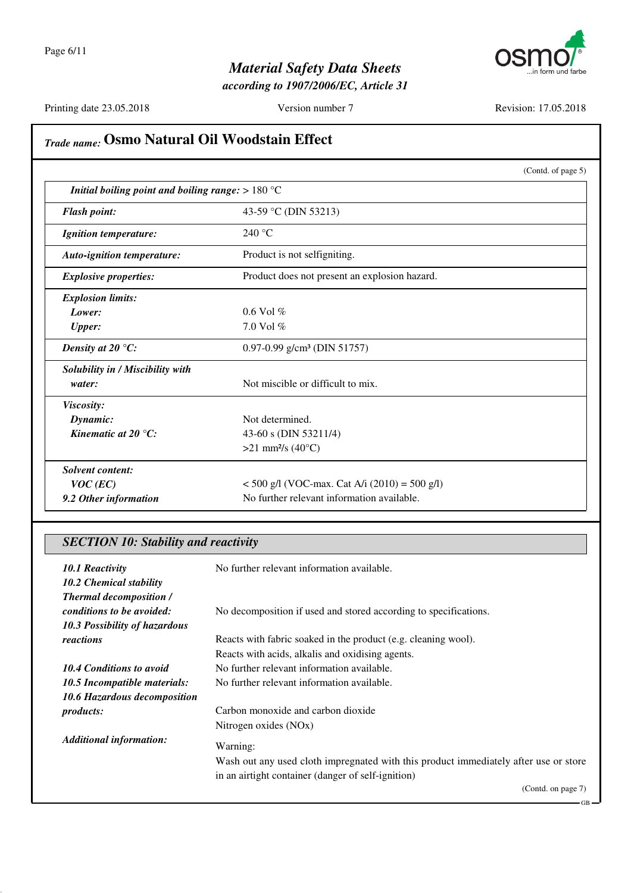

*according to 1907/2006/EC, Article 31*

Printing date 23.05.2018 Version number 7 Revision: 17.05.2018

## *Trade name:* **Osmo Natural Oil Woodstain Effect** (Contd. of page 5) *Initial boiling point and boiling range:* > 180 °C *Flash point:* 43-59 °C (DIN 53213) *Ignition temperature:* 240 °C *Auto-ignition temperature:* Product is not selfigniting. **Explosive properties:** Product does not present an explosion hazard. *Explosion limits: Lower:* 0.6 Vol % *Upper:* 7.0 Vol % *Density at 20 °C:* 0.97-0.99 g/cm<sup>3</sup> (DIN 51757) *Solubility in / Miscibility with water:* Not miscible or difficult to mix. *Viscosity: Dynamic:* Not determined. *Kinematic at 20 °C:* 43-60 s (DIN 53211/4)  $>21$  mm<sup>2</sup>/s (40 $^{\circ}$ C) *Solvent content: VOC* (*EC*)  $\leq$  500 g/l (VOC-max. Cat A/i (2010) = 500 g/l) **9.2 Other information** No further relevant information available.

#### *SECTION 10: Stability and reactivity*

| 10.1 Reactivity<br>10.2 Chemical stability<br><b>Thermal decomposition /</b> | No further relevant information available.                                                                                                 |
|------------------------------------------------------------------------------|--------------------------------------------------------------------------------------------------------------------------------------------|
| conditions to be avoided:                                                    | No decomposition if used and stored according to specifications.                                                                           |
| 10.3 Possibility of hazardous                                                |                                                                                                                                            |
| reactions                                                                    | Reacts with fabric soaked in the product (e.g. cleaning wool).                                                                             |
|                                                                              | Reacts with acids, alkalis and oxidising agents.                                                                                           |
| 10.4 Conditions to avoid                                                     | No further relevant information available.                                                                                                 |
| 10.5 Incompatible materials:                                                 | No further relevant information available.                                                                                                 |
| 10.6 Hazardous decomposition                                                 |                                                                                                                                            |
| <i>products:</i>                                                             | Carbon monoxide and carbon dioxide                                                                                                         |
|                                                                              | Nitrogen oxides (NO <sub>x</sub> )                                                                                                         |
| <b>Additional information:</b>                                               | Warning:                                                                                                                                   |
|                                                                              | Wash out any used cloth impregnated with this product immediately after use or store<br>in an airtight container (danger of self-ignition) |
|                                                                              | (Contd. on page 7)                                                                                                                         |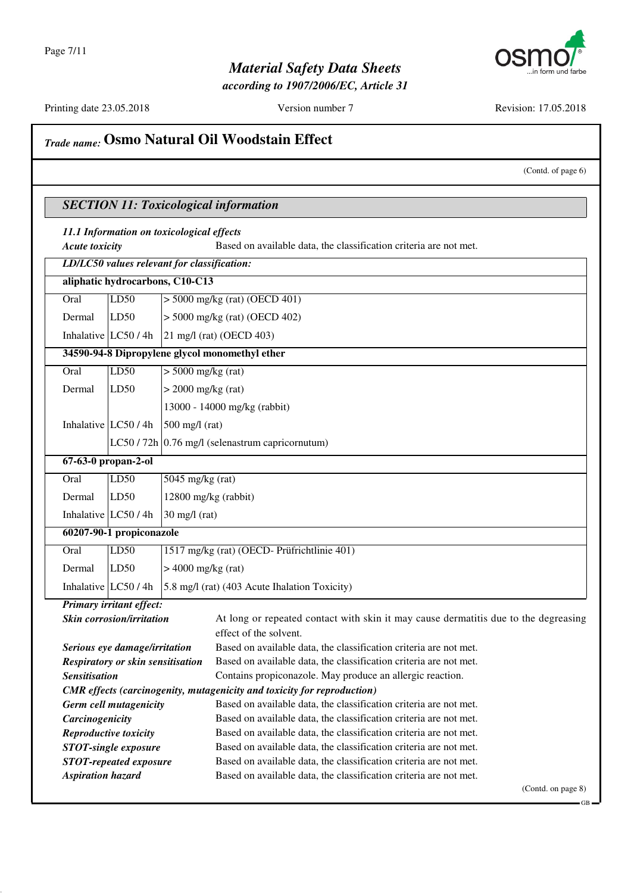

*according to 1907/2006/EC, Article 31*

Printing date 23.05.2018 Version number 7 Revision: 17.05.2018

### *Trade name:* **Osmo Natural Oil Woodstain Effect**

(Contd. of page 6)

#### *SECTION 11: Toxicological information 11.1 Information on toxicological effects Acute toxicity* Based on available data, the classification criteria are not met. *LD/LC50 values relevant for classification:* **aliphatic hydrocarbons, C10-C13** Oral LD50 > 5000 mg/kg (rat) (OECD 401) Dermal LD50 > 5000 mg/kg (rat) (OECD 402) Inhalative  $|LC50/4h|$  21 mg/l (rat) (OECD 403) **34590-94-8 Dipropylene glycol monomethyl ether** Oral LD50 > 5000 mg/kg (rat) Dermal  $|LD50$   $| > 2000$  mg/kg (rat) 13000 - 14000 mg/kg (rabbit) Inhalative  $LC50/4h$  500 mg/l (rat) LC50 / 72h  $\vert$  0.76 mg/l (selenastrum capricornutum) **67-63-0 propan-2-ol** Oral | LD50 | 5045 mg/kg (rat) Dermal | LD50 | 12800 mg/kg (rabbit) Inhalative  $LC50/4h$  30 mg/l (rat) **60207-90-1 propiconazole** Oral LD50 1517 mg/kg (rat) (OECD- Prüfrichtlinie 401) Dermal  $|LD50$   $| > 4000$  mg/kg (rat) Inhalative  $|LC50/4h|$  5.8 mg/l (rat) (403 Acute Ihalation Toxicity) *Primary irritant effect:* **Skin corrosion/irritation** At long or repeated contact with skin it may cause dermatitis due to the degreasing effect of the solvent. *Serious eye damage/irritation* Based on available data, the classification criteria are not met. *Respiratory or skin sensitisation* Based on available data, the classification criteria are not met. **Sensitisation Contains propiconazole.** May produce an allergic reaction. *CMR effects (carcinogenity, mutagenicity and toxicity for reproduction) Germ cell mutagenicity* Based on available data, the classification criteria are not met. **Carcinogenicity** Based on available data, the classification criteria are not met. *Reproductive toxicity* Based on available data, the classification criteria are not met. **STOT-single exposure** Based on available data, the classification criteria are not met. **STOT-repeated exposure** Based on available data, the classification criteria are not met. *Aspiration hazard* Based on available data, the classification criteria are not met. (Contd. on page 8)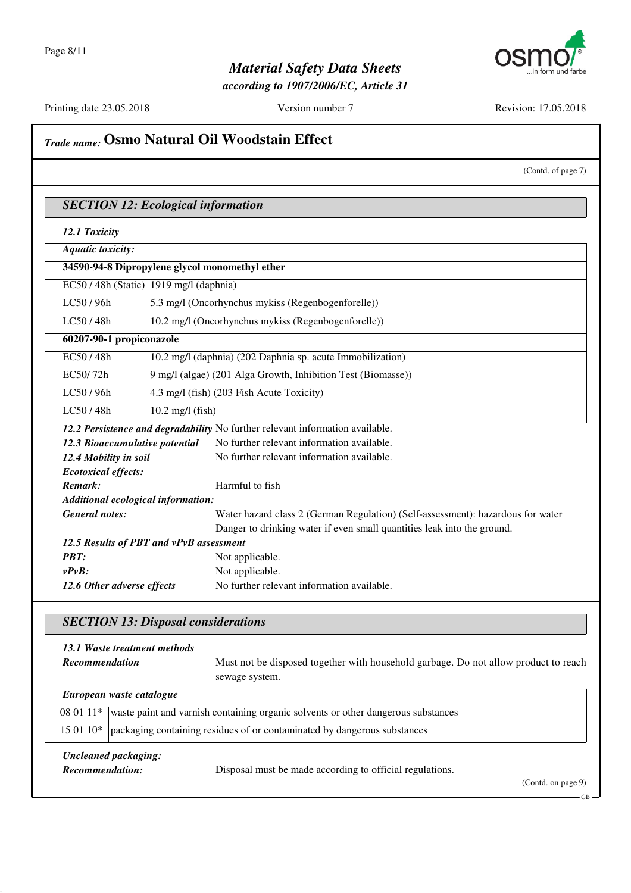

*according to 1907/2006/EC, Article 31*

Printing date 23.05.2018 Version number 7 Revision: 17.05.2018

## *Trade name:* **Osmo Natural Oil Woodstain Effect**

(Contd. of page 7)

#### *SECTION 12: Ecological information*

| <b>Aquatic toxicity:</b>                                                      |                                                                          |                                                                                 |  |
|-------------------------------------------------------------------------------|--------------------------------------------------------------------------|---------------------------------------------------------------------------------|--|
| 34590-94-8 Dipropylene glycol monomethyl ether                                |                                                                          |                                                                                 |  |
|                                                                               | $EC50/48h$ (Static) 1919 mg/l (daphnia)                                  |                                                                                 |  |
| LC50 / 96h                                                                    | 5.3 mg/l (Oncorhynchus mykiss (Regenbogenforelle))                       |                                                                                 |  |
| LC50/48h                                                                      | 10.2 mg/l (Oncorhynchus mykiss (Regenbogenforelle))                      |                                                                                 |  |
| 60207-90-1 propiconazole                                                      |                                                                          |                                                                                 |  |
| EC50/48h                                                                      |                                                                          | 10.2 mg/l (daphnia) (202 Daphnia sp. acute Immobilization)                      |  |
| EC50/72h                                                                      |                                                                          | 9 mg/l (algae) (201 Alga Growth, Inhibition Test (Biomasse))                    |  |
| LC50 / 96h                                                                    |                                                                          | 4.3 mg/l (fish) (203 Fish Acute Toxicity)                                       |  |
| LC50/48h                                                                      | $10.2$ mg/l (fish)                                                       |                                                                                 |  |
| 12.2 Persistence and degradability No further relevant information available. |                                                                          |                                                                                 |  |
| 12.3 Bioaccumulative potential                                                |                                                                          | No further relevant information available.                                      |  |
|                                                                               | No further relevant information available.<br>12.4 Mobility in soil      |                                                                                 |  |
| <b>Ecotoxical effects:</b>                                                    |                                                                          |                                                                                 |  |
| Remark:                                                                       |                                                                          | Harmful to fish                                                                 |  |
| Additional ecological information:                                            |                                                                          |                                                                                 |  |
| <b>General notes:</b>                                                         |                                                                          | Water hazard class 2 (German Regulation) (Self-assessment): hazardous for water |  |
|                                                                               |                                                                          | Danger to drinking water if even small quantities leak into the ground.         |  |
| 12.5 Results of PBT and vPvB assessment                                       |                                                                          |                                                                                 |  |
| <b>PRT:</b>                                                                   |                                                                          | Not applicable.                                                                 |  |
| $v P v B$ :                                                                   |                                                                          | Not applicable.                                                                 |  |
|                                                                               | No further relevant information available.<br>12.6 Other adverse effects |                                                                                 |  |
|                                                                               |                                                                          |                                                                                 |  |

#### *SECTION 13: Disposal considerations*

*13.1 Waste treatment methods* **Recommendation** Must not be disposed together with household garbage. Do not allow product to reach sewage system.

| European waste catalogue |                                                                                                       |  |
|--------------------------|-------------------------------------------------------------------------------------------------------|--|
|                          | $\overline{080111}$ waste paint and varnish containing organic solvents or other dangerous substances |  |
|                          | 15 01 10*   packaging containing residues of or contaminated by dangerous substances                  |  |
|                          | <b>Uncleaned packaging:</b>                                                                           |  |

*Recommendation:* Disposal must be made according to official regulations.

(Contd. on page 9)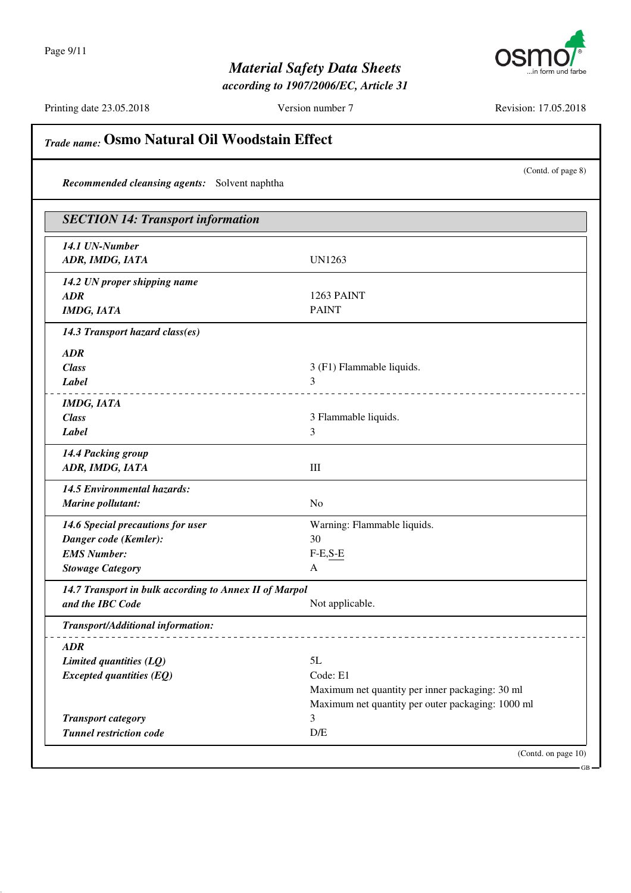

*according to 1907/2006/EC, Article 31*

Printing date 23.05.2018 Version number 7 Revision: 17.05.2018

*Trade name:* **Osmo Natural Oil Woodstain Effect**

| Recommended cleansing agents: Solvent naphtha          | (Contd. of page 8)                                |
|--------------------------------------------------------|---------------------------------------------------|
| <b>SECTION 14: Transport information</b>               |                                                   |
| 14.1 UN-Number                                         |                                                   |
| ADR, IMDG, IATA                                        | <b>UN1263</b>                                     |
| 14.2 UN proper shipping name                           |                                                   |
| <b>ADR</b>                                             | 1263 PAINT                                        |
| <b>IMDG, IATA</b>                                      | <b>PAINT</b>                                      |
| 14.3 Transport hazard class(es)                        |                                                   |
| <b>ADR</b>                                             |                                                   |
| <b>Class</b>                                           | 3 (F1) Flammable liquids.                         |
| Label                                                  | 3                                                 |
| <b>IMDG, IATA</b>                                      |                                                   |
| <b>Class</b>                                           | 3 Flammable liquids.                              |
| Label                                                  | 3                                                 |
| 14.4 Packing group                                     |                                                   |
| ADR, IMDG, IATA                                        | $\mathop{\rm III}$                                |
| 14.5 Environmental hazards:                            |                                                   |
| <b>Marine pollutant:</b>                               | N <sub>0</sub>                                    |
| 14.6 Special precautions for user                      | Warning: Flammable liquids.                       |
| Danger code (Kemler):                                  | 30                                                |
| <b>EMS Number:</b>                                     | $F-E,S-E$                                         |
| <b>Stowage Category</b>                                | A                                                 |
| 14.7 Transport in bulk according to Annex II of Marpol |                                                   |
| and the IBC Code                                       | Not applicable.                                   |
| Transport/Additional information:                      | _____________________                             |
| <b>ADR</b>                                             |                                                   |
| Limited quantities (LQ)                                | 5L                                                |
| $Expected$ quantities $(EQ)$                           | Code: E1                                          |
|                                                        | Maximum net quantity per inner packaging: 30 ml   |
|                                                        | Maximum net quantity per outer packaging: 1000 ml |
| <b>Transport category</b>                              | 3                                                 |
| <b>Tunnel restriction code</b>                         | D/E                                               |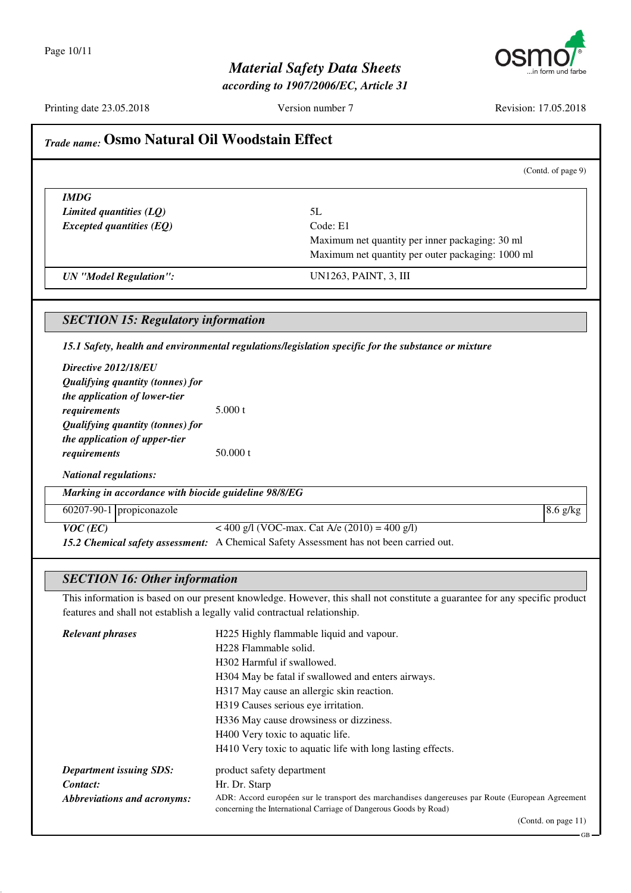

*according to 1907/2006/EC, Article 31*

Printing date 23.05.2018 Version number 7 Revision: 17.05.2018

(Contd. of page 9)

## *Trade name:* **Osmo Natural Oil Woodstain Effect**

*IMDG Limited quantities (LQ)* 5L *Excepted quantities (EQ)* Code: E1

Maximum net quantity per inner packaging: 30 ml Maximum net quantity per outer packaging: 1000 ml

*UN "Model Regulation":* UN1263, PAINT, 3, III

#### *SECTION 15: Regulatory information*

*15.1 Safety, health and environmental regulations/legislation specific for the substance or mixture*

| Directive 2012/18/EU                                 |                                                                                         |            |
|------------------------------------------------------|-----------------------------------------------------------------------------------------|------------|
| Qualifying quantity (tonnes) for                     |                                                                                         |            |
| the application of lower-tier                        |                                                                                         |            |
| requirements                                         | 5.000 t                                                                                 |            |
| Qualifying quantity (tonnes) for                     |                                                                                         |            |
| the application of upper-tier                        |                                                                                         |            |
| requirements                                         | 50.000 t                                                                                |            |
| <b>National regulations:</b>                         |                                                                                         |            |
| Marking in accordance with biocide guideline 98/8/EG |                                                                                         |            |
| $60207-90-1$ propiconazole                           |                                                                                         | $8.6$ g/kg |
| $VOC$ (EC)                                           | < 400 g/l (VOC-max. Cat A/e $(2010) = 400$ g/l)                                         |            |
|                                                      | 15.2 Chemical safety assessment: A Chemical Safety Assessment has not been carried out. |            |

# *SECTION 16: Other information*

This information is based on our present knowledge. However, this shall not constitute a guarantee for any specific product features and shall not establish a legally valid contractual relationship.

| <b>Relevant phrases</b>        | H225 Highly flammable liquid and vapour.                                                                                                                              |
|--------------------------------|-----------------------------------------------------------------------------------------------------------------------------------------------------------------------|
|                                | H <sub>228</sub> Flammable solid.                                                                                                                                     |
|                                | H <sub>302</sub> Harmful if swallowed.                                                                                                                                |
|                                | H304 May be fatal if swallowed and enters airways.                                                                                                                    |
|                                | H317 May cause an allergic skin reaction.                                                                                                                             |
|                                | H319 Causes serious eye irritation.                                                                                                                                   |
|                                | H336 May cause drowsiness or dizziness.                                                                                                                               |
|                                | H400 Very toxic to aquatic life.                                                                                                                                      |
|                                | H410 Very toxic to aquatic life with long lasting effects.                                                                                                            |
| <b>Department issuing SDS:</b> | product safety department                                                                                                                                             |
| Contact:                       | Hr. Dr. Starp                                                                                                                                                         |
| Abbreviations and acronyms:    | ADR: Accord européen sur le transport des marchandises dangereuses par Route (European Agreement<br>concerning the International Carriage of Dangerous Goods by Road) |
|                                | (Contd. on page $11$ )                                                                                                                                                |

(Contd. on page 11)